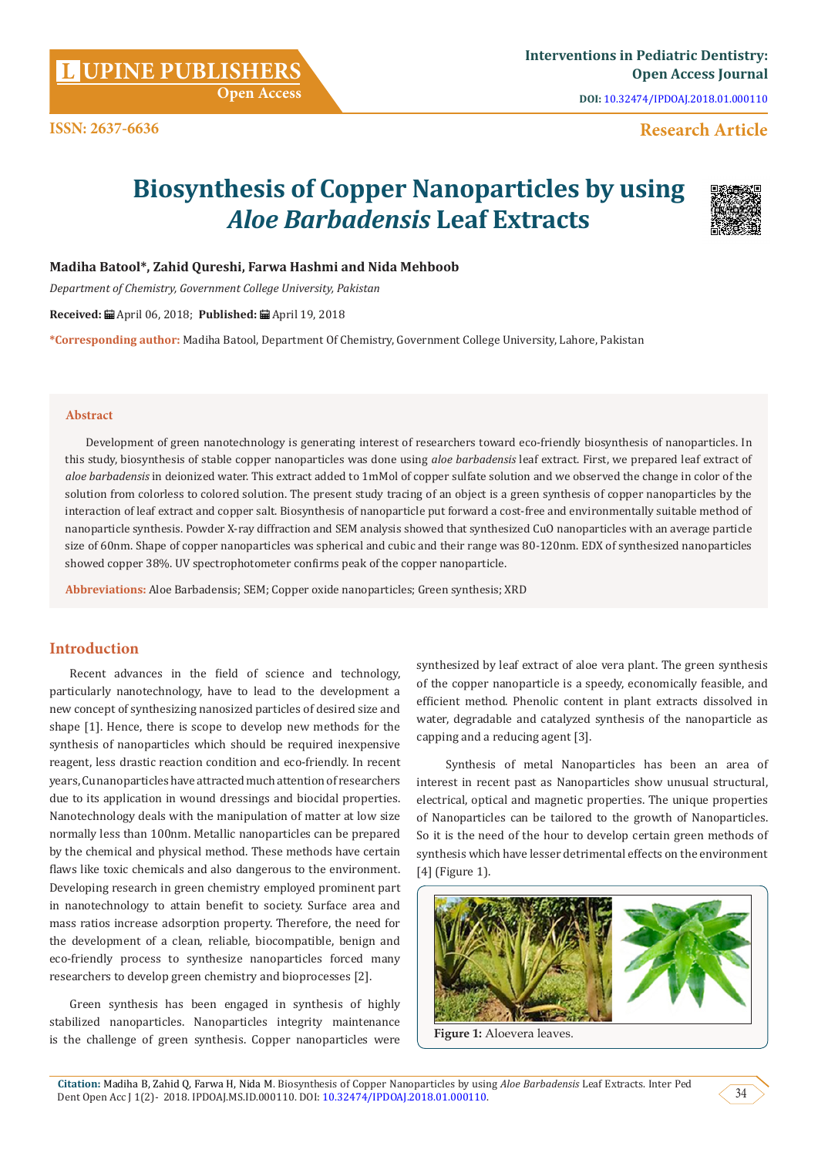Development of green nanotechnology is generating interest of researchers toward eco-friendly biosynthesis of nanoparticles. In

this study, biosynthesis of stable copper nanoparticles was done using *aloe barbadensis* leaf extract. First, we prepared leaf extract of *aloe barbadensis* in deionized water. This extract added to 1mMol of copper sulfate solution and we observed the change in color of the solution from colorless to colored solution. The present study tracing of an object is a green synthesis of copper nanoparticles by the interaction of leaf extract and copper salt. Biosynthesis of nanoparticle put forward a cost-free and environmentally suitable method of nanoparticle synthesis. Powder X-ray diffraction and SEM analysis showed that synthesized CuO nanoparticles with an average particle size of 60nm. Shape of copper nanoparticles was spherical and cubic and their range was 80-120nm. EDX of synthesized nanoparticles showed copper 38%. UV spectrophotometer confirms peak of the copper nanoparticle.

**Biosynthesis of Copper Nanoparticles by using** 

*Aloe Barbadensis* **Leaf Extracts**

#### **Introduction**

Recent advances in the field of science and technology, particularly nanotechnology, have to lead to the development a new concept of synthesizing nanosized particles of desired size and shape [1]. Hence, there is scope to develop new methods for the synthesis of nanoparticles which should be required inexpensive reagent, less drastic reaction condition and eco-friendly. In recent years, Cu nanoparticles have attracted much attention of researchers due to its application in wound dressings and biocidal properties. Nanotechnology deals with the manipulation of matter at low size normally less than 100nm. Metallic nanoparticles can be prepared by the chemical and physical method. These methods have certain flaws like toxic chemicals and also dangerous to the environment. Developing research in green chemistry employed prominent part in nanotechnology to attain benefit to society. Surface area and mass ratios increase adsorption property. Therefore, the need for the development of a clean, reliable, biocompatible, benign and eco-friendly process to synthesize nanoparticles forced many researchers to develop green chemistry and bioprocesses [2].

Green synthesis has been engaged in synthesis of highly stabilized nanoparticles. Nanoparticles integrity maintenance is the challenge of green synthesis. Copper nanoparticles were

synthesized by leaf extract of aloe vera plant. The green synthesis of the copper nanoparticle is a speedy, economically feasible, and efficient method. Phenolic content in plant extracts dissolved in water, degradable and catalyzed synthesis of the nanoparticle as capping and a reducing agent [3].

 Synthesis of metal Nanoparticles has been an area of interest in recent past as Nanoparticles show unusual structural, electrical, optical and magnetic properties. The unique properties of Nanoparticles can be tailored to the growth of Nanoparticles. So it is the need of the hour to develop certain green methods of synthesis which have lesser detrimental effects on the environment [4] (Figure 1).

### **Madiha Batool\*, Zahid Qureshi, Farwa Hashmi and Nida Mehboob**

*Department of Chemistry, Government College University, Pakistan*

**Received:** April 06, 2018; **Published:** April 19, 2018

**\*Corresponding author:** Madiha Batool, Department Of Chemistry, Government College University, Lahore, Pakistan

#### **Abstract**

**Abbreviations:** Aloe Barbadensis; SEM; Copper oxide nanoparticles; Green synthesis; XRD



**DOI:** [10.32474/IPDOAJ.2018.01.000110](http://dx.doi.org/10.32474/IPDOAJ.2018.01.000110)

**Research Article**

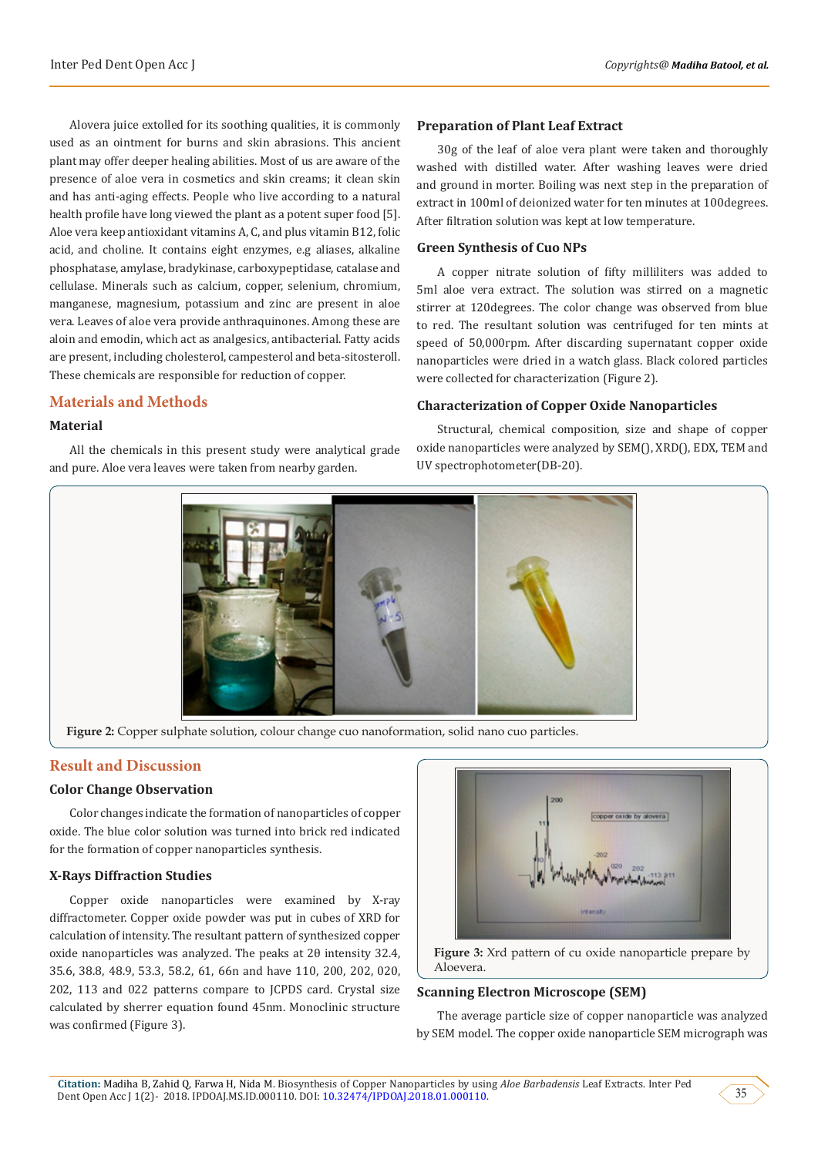Alovera juice extolled for its soothing qualities, it is commonly used as an ointment for burns and skin abrasions. This ancient plant may offer deeper healing abilities. Most of us are aware of the presence of aloe vera in cosmetics and skin creams; it clean skin and has anti-aging effects. People who live according to a natural health profile have long viewed the plant as a potent super food [5]. Aloe vera keep antioxidant vitamins A, C, and plus vitamin B12, folic acid, and choline. It contains eight enzymes, e.g aliases, alkaline phosphatase, amylase, bradykinase, carboxypeptidase, catalase and cellulase. Minerals such as calcium, copper, selenium, chromium, manganese, magnesium, potassium and zinc are present in aloe vera. Leaves of aloe vera provide anthraquinones. Among these are aloin and emodin, which act as analgesics, antibacterial. Fatty acids are present, including cholesterol, campesterol and beta-sitosteroll. These chemicals are responsible for reduction of copper.

#### **Materials and Methods**

#### **Material**

All the chemicals in this present study were analytical grade and pure. Aloe vera leaves were taken from nearby garden.

#### **Preparation of Plant Leaf Extract**

30g of the leaf of aloe vera plant were taken and thoroughly washed with distilled water. After washing leaves were dried and ground in morter. Boiling was next step in the preparation of extract in 100ml of deionized water for ten minutes at 100degrees. After filtration solution was kept at low temperature.

#### **Green Synthesis of Cuo NPs**

A copper nitrate solution of fifty milliliters was added to 5ml aloe vera extract. The solution was stirred on a magnetic stirrer at 120degrees. The color change was observed from blue to red. The resultant solution was centrifuged for ten mints at speed of 50,000rpm. After discarding supernatant copper oxide nanoparticles were dried in a watch glass. Black colored particles were collected for characterization (Figure 2).

#### **Characterization of Copper Oxide Nanoparticles**

Structural, chemical composition, size and shape of copper oxide nanoparticles were analyzed by SEM(), XRD(), EDX, TEM and UV spectrophotometer(DB-20).



**Figure 2:** Copper sulphate solution, colour change cuo nanoformation, solid nano cuo particles.

#### **Result and Discussion**

#### **Color Change Observation**

Color changes indicate the formation of nanoparticles of copper oxide. The blue color solution was turned into brick red indicated for the formation of copper nanoparticles synthesis.

#### **X-Rays Diffraction Studies**

Copper oxide nanoparticles were examined by X-ray diffractometer. Copper oxide powder was put in cubes of XRD for calculation of intensity. The resultant pattern of synthesized copper oxide nanoparticles was analyzed. The peaks at 2θ intensity 32.4, 35.6, 38.8, 48.9, 53.3, 58.2, 61, 66n and have 110, 200, 202, 020, 202, 113 and 022 patterns compare to JCPDS card. Crystal size calculated by sherrer equation found 45nm. Monoclinic structure was confirmed (Figure 3).



**Figure 3:** Xrd pattern of cu oxide nanoparticle prepare by Aloevera.

#### **Scanning Electron Microscope (SEM)**

The average particle size of copper nanoparticle was analyzed by SEM model. The copper oxide nanoparticle SEM micrograph was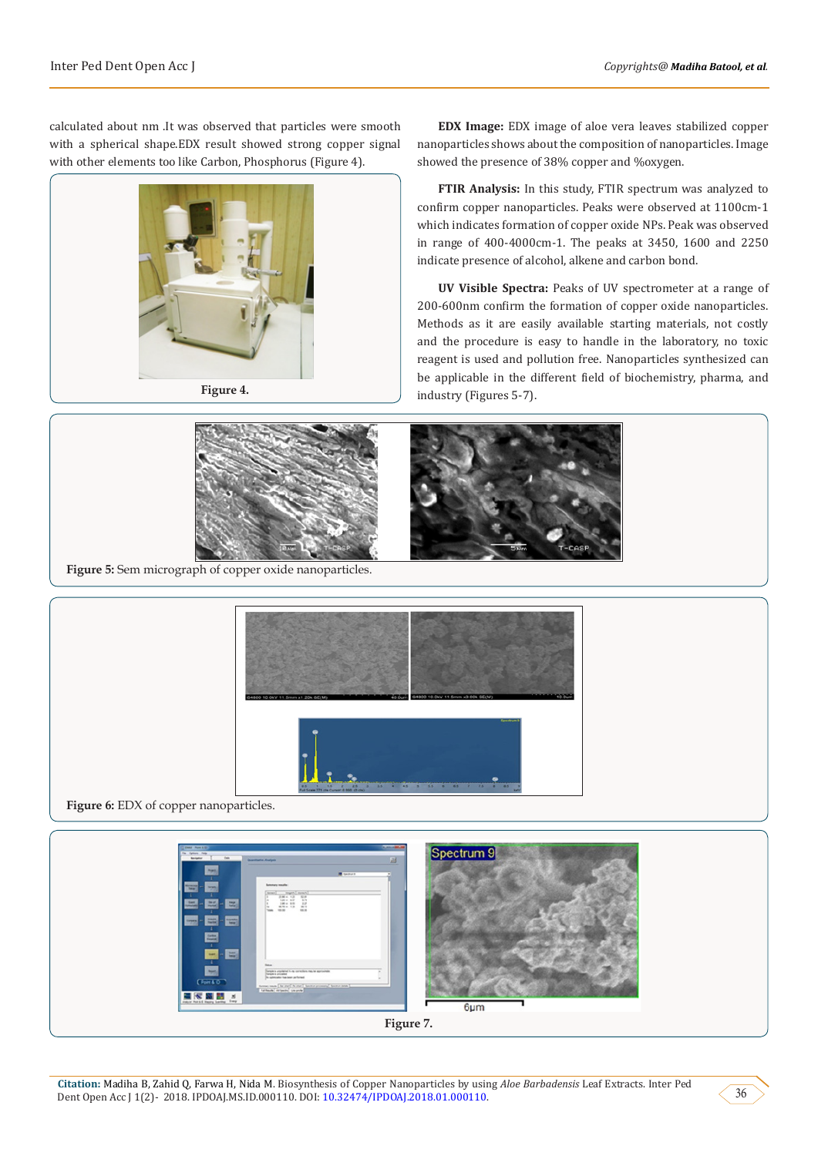calculated about nm .It was observed that particles were smooth with a spherical shape.EDX result showed strong copper signal with other elements too like Carbon, Phosphorus (Figure 4).



**EDX Image:** EDX image of aloe vera leaves stabilized copper nanoparticles shows about the composition of nanoparticles. Image showed the presence of 38% copper and %oxygen.

**FTIR Analysis:** In this study, FTIR spectrum was analyzed to confirm copper nanoparticles. Peaks were observed at 1100cm-1 which indicates formation of copper oxide NPs. Peak was observed in range of 400-4000cm-1. The peaks at 3450, 1600 and 2250 indicate presence of alcohol, alkene and carbon bond.

**UV Visible Spectra:** Peaks of UV spectrometer at a range of 200-600nm confirm the formation of copper oxide nanoparticles. Methods as it are easily available starting materials, not costly and the procedure is easy to handle in the laboratory, no toxic reagent is used and pollution free. Nanoparticles synthesized can be applicable in the different field of biochemistry, pharma, and industry (Figures 5-7).





**Figure 6:** EDX of copper nanoparticles.

Spectrum 9 ■<= 面目 6um **Figure 7.**